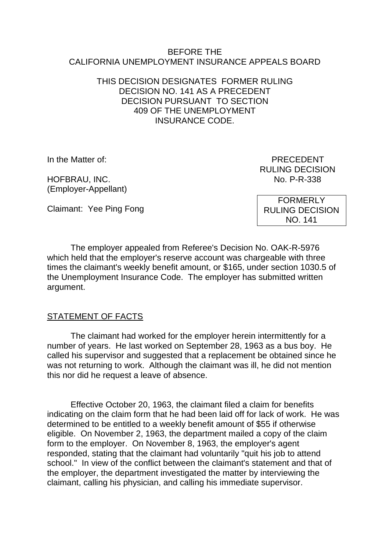#### BEFORE THE CALIFORNIA UNEMPLOYMENT INSURANCE APPEALS BOARD

#### THIS DECISION DESIGNATES FORMER RULING DECISION NO. 141 AS A PRECEDENT DECISION PURSUANT TO SECTION 409 OF THE UNEMPLOYMENT INSURANCE CODE.

HOFBRAU, INC. No. P-R-338 (Employer-Appellant)

In the Matter of: PRECEDENT RULING DECISION

Claimant: Yee Ping Fong

FORMERLY RULING DECISION NO. 141

The employer appealed from Referee's Decision No. OAK-R-5976 which held that the employer's reserve account was chargeable with three times the claimant's weekly benefit amount, or \$165, under section 1030.5 of the Unemployment Insurance Code. The employer has submitted written argument.

# STATEMENT OF FACTS

The claimant had worked for the employer herein intermittently for a number of years. He last worked on September 28, 1963 as a bus boy. He called his supervisor and suggested that a replacement be obtained since he was not returning to work. Although the claimant was ill, he did not mention this nor did he request a leave of absence.

Effective October 20, 1963, the claimant filed a claim for benefits indicating on the claim form that he had been laid off for lack of work. He was determined to be entitled to a weekly benefit amount of \$55 if otherwise eligible. On November 2, 1963, the department mailed a copy of the claim form to the employer. On November 8, 1963, the employer's agent responded, stating that the claimant had voluntarily "quit his job to attend school." In view of the conflict between the claimant's statement and that of the employer, the department investigated the matter by interviewing the claimant, calling his physician, and calling his immediate supervisor.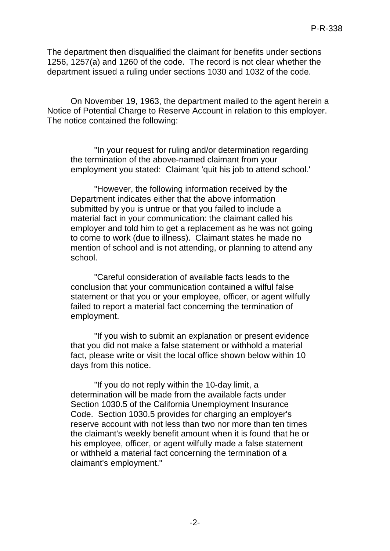The department then disqualified the claimant for benefits under sections 1256, 1257(a) and 1260 of the code. The record is not clear whether the department issued a ruling under sections 1030 and 1032 of the code.

On November 19, 1963, the department mailed to the agent herein a Notice of Potential Charge to Reserve Account in relation to this employer. The notice contained the following:

"In your request for ruling and/or determination regarding the termination of the above-named claimant from your employment you stated: Claimant 'quit his job to attend school.'

"However, the following information received by the Department indicates either that the above information submitted by you is untrue or that you failed to include a material fact in your communication: the claimant called his employer and told him to get a replacement as he was not going to come to work (due to illness). Claimant states he made no mention of school and is not attending, or planning to attend any school.

"Careful consideration of available facts leads to the conclusion that your communication contained a wilful false statement or that you or your employee, officer, or agent wilfully failed to report a material fact concerning the termination of employment.

"If you wish to submit an explanation or present evidence that you did not make a false statement or withhold a material fact, please write or visit the local office shown below within 10 days from this notice.

"If you do not reply within the 10-day limit, a determination will be made from the available facts under Section 1030.5 of the California Unemployment Insurance Code. Section 1030.5 provides for charging an employer's reserve account with not less than two nor more than ten times the claimant's weekly benefit amount when it is found that he or his employee, officer, or agent wilfully made a false statement or withheld a material fact concerning the termination of a claimant's employment."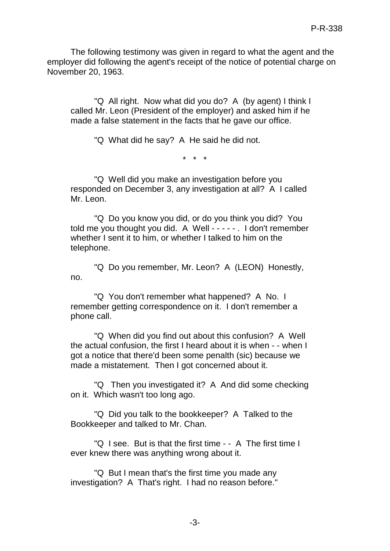The following testimony was given in regard to what the agent and the employer did following the agent's receipt of the notice of potential charge on November 20, 1963.

"Q All right. Now what did you do? A (by agent) I think I called Mr. Leon (President of the employer) and asked him if he made a false statement in the facts that he gave our office.

"Q What did he say? A He said he did not.

\* \* \*

"Q Well did you make an investigation before you responded on December 3, any investigation at all? A I called Mr. Leon.

"Q Do you know you did, or do you think you did? You told me you thought you did. A Well - - - - - . I don't remember whether I sent it to him, or whether I talked to him on the telephone.

"Q Do you remember, Mr. Leon? A (LEON) Honestly, no.

"Q You don't remember what happened? A No. I remember getting correspondence on it. I don't remember a phone call.

"Q When did you find out about this confusion? A Well the actual confusion, the first I heard about it is when - - when I got a notice that there'd been some penalth (sic) because we made a mistatement. Then I got concerned about it.

"Q Then you investigated it? A And did some checking on it. Which wasn't too long ago.

"Q Did you talk to the bookkeeper? A Talked to the Bookkeeper and talked to Mr. Chan.

"Q I see. But is that the first time - - A The first time I ever knew there was anything wrong about it.

"Q But I mean that's the first time you made any investigation? A That's right. I had no reason before."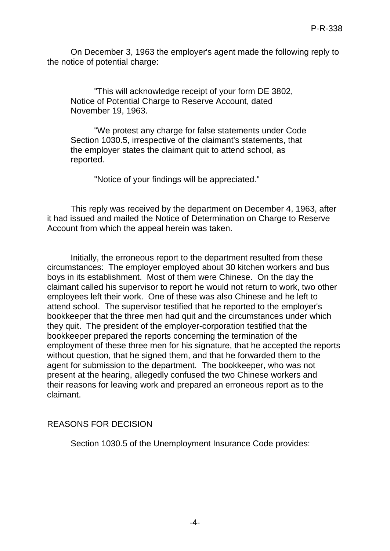On December 3, 1963 the employer's agent made the following reply to the notice of potential charge:

"This will acknowledge receipt of your form DE 3802, Notice of Potential Charge to Reserve Account, dated November 19, 1963.

"We protest any charge for false statements under Code Section 1030.5, irrespective of the claimant's statements, that the employer states the claimant quit to attend school, as reported.

"Notice of your findings will be appreciated."

This reply was received by the department on December 4, 1963, after it had issued and mailed the Notice of Determination on Charge to Reserve Account from which the appeal herein was taken.

Initially, the erroneous report to the department resulted from these circumstances: The employer employed about 30 kitchen workers and bus boys in its establishment. Most of them were Chinese. On the day the claimant called his supervisor to report he would not return to work, two other employees left their work. One of these was also Chinese and he left to attend school. The supervisor testified that he reported to the employer's bookkeeper that the three men had quit and the circumstances under which they quit. The president of the employer-corporation testified that the bookkeeper prepared the reports concerning the termination of the employment of these three men for his signature, that he accepted the reports without question, that he signed them, and that he forwarded them to the agent for submission to the department. The bookkeeper, who was not present at the hearing, allegedly confused the two Chinese workers and their reasons for leaving work and prepared an erroneous report as to the claimant.

# REASONS FOR DECISION

Section 1030.5 of the Unemployment Insurance Code provides: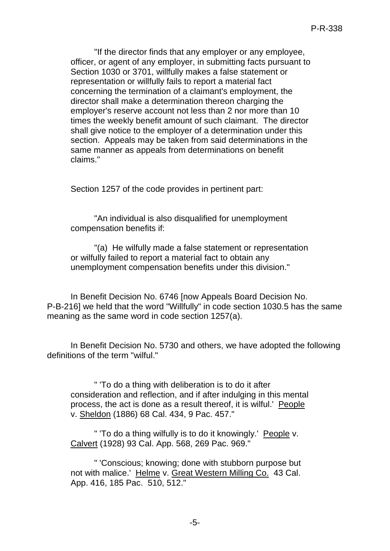"If the director finds that any employer or any employee, officer, or agent of any employer, in submitting facts pursuant to Section 1030 or 3701, willfully makes a false statement or representation or willfully fails to report a material fact concerning the termination of a claimant's employment, the director shall make a determination thereon charging the employer's reserve account not less than 2 nor more than 10 times the weekly benefit amount of such claimant. The director shall give notice to the employer of a determination under this section. Appeals may be taken from said determinations in the same manner as appeals from determinations on benefit claims."

Section 1257 of the code provides in pertinent part:

"An individual is also disqualified for unemployment compensation benefits if:

"(a) He wilfully made a false statement or representation or wilfully failed to report a material fact to obtain any unemployment compensation benefits under this division."

In Benefit Decision No. 6746 [now Appeals Board Decision No. P-B-216] we held that the word "Willfully" in code section 1030.5 has the same meaning as the same word in code section 1257(a).

In Benefit Decision No. 5730 and others, we have adopted the following definitions of the term "wilful."

" 'To do a thing with deliberation is to do it after consideration and reflection, and if after indulging in this mental process, the act is done as a result thereof, it is wilful.' People v. Sheldon (1886) 68 Cal. 434, 9 Pac. 457."

" 'To do a thing wilfully is to do it knowingly.' People v. Calvert (1928) 93 Cal. App. 568, 269 Pac. 969."

" 'Conscious; knowing; done with stubborn purpose but not with malice.' Helme v. Great Western Milling Co. 43 Cal. App. 416, 185 Pac. 510, 512."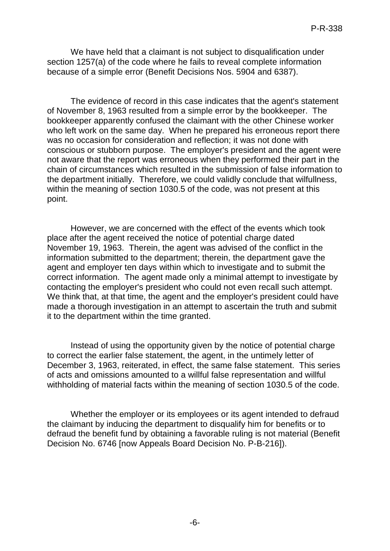We have held that a claimant is not subject to disqualification under section 1257(a) of the code where he fails to reveal complete information because of a simple error (Benefit Decisions Nos. 5904 and 6387).

The evidence of record in this case indicates that the agent's statement of November 8, 1963 resulted from a simple error by the bookkeeper. The bookkeeper apparently confused the claimant with the other Chinese worker who left work on the same day. When he prepared his erroneous report there was no occasion for consideration and reflection; it was not done with conscious or stubborn purpose. The employer's president and the agent were not aware that the report was erroneous when they performed their part in the chain of circumstances which resulted in the submission of false information to the department initially. Therefore, we could validly conclude that wilfullness, within the meaning of section 1030.5 of the code, was not present at this point.

However, we are concerned with the effect of the events which took place after the agent received the notice of potential charge dated November 19, 1963. Therein, the agent was advised of the conflict in the information submitted to the department; therein, the department gave the agent and employer ten days within which to investigate and to submit the correct information. The agent made only a minimal attempt to investigate by contacting the employer's president who could not even recall such attempt. We think that, at that time, the agent and the employer's president could have made a thorough investigation in an attempt to ascertain the truth and submit it to the department within the time granted.

Instead of using the opportunity given by the notice of potential charge to correct the earlier false statement, the agent, in the untimely letter of December 3, 1963, reiterated, in effect, the same false statement. This series of acts and omissions amounted to a willful false representation and willful withholding of material facts within the meaning of section 1030.5 of the code.

Whether the employer or its employees or its agent intended to defraud the claimant by inducing the department to disqualify him for benefits or to defraud the benefit fund by obtaining a favorable ruling is not material (Benefit Decision No. 6746 [now Appeals Board Decision No. P-B-216]).